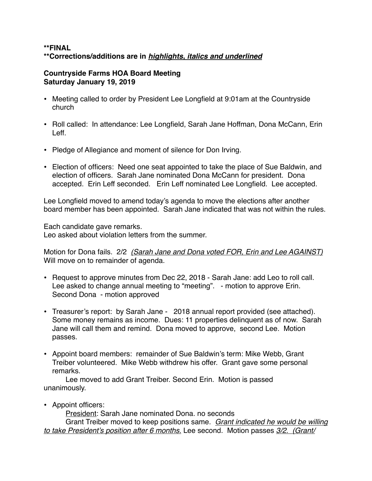## **\*\*FINAL \*\*Corrections/additions are in** *highlights, italics and underlined*

## **Countryside Farms HOA Board Meeting Saturday January 19, 2019**

- Meeting called to order by President Lee Longfield at 9:01am at the Countryside church
- Roll called: In attendance: Lee Longfield, Sarah Jane Hoffman, Dona McCann, Erin Leff.
- Pledge of Allegiance and moment of silence for Don Irving.
- Election of officers: Need one seat appointed to take the place of Sue Baldwin, and election of officers. Sarah Jane nominated Dona McCann for president. Dona accepted. Erin Leff seconded. Erin Leff nominated Lee Longfield. Lee accepted.

Lee Longfield moved to amend today's agenda to move the elections after another board member has been appointed. Sarah Jane indicated that was not within the rules.

Each candidate gave remarks. Leo asked about violation letters from the summer.

Motion for Dona fails. 2/2 *(Sarah Jane and Dona voted FOR, Erin and Lee AGAINST)* Will move on to remainder of agenda.

- Request to approve minutes from Dec 22, 2018 Sarah Jane: add Leo to roll call. Lee asked to change annual meeting to "meeting". - motion to approve Erin. Second Dona - motion approved
- Treasurer's report: by Sarah Jane 2018 annual report provided (see attached). Some money remains as income. Dues: 11 properties delinquent as of now. Sarah Jane will call them and remind. Dona moved to approve, second Lee. Motion passes.
- Appoint board members: remainder of Sue Baldwin's term: Mike Webb, Grant Treiber volunteered. Mike Webb withdrew his offer. Grant gave some personal remarks.

Lee moved to add Grant Treiber. Second Erin. Motion is passed unanimously.

• Appoint officers:

President: Sarah Jane nominated Dona. no seconds

Grant Treiber moved to keep positions same. *Grant indicated he would be willing to take President's position after 6 months.* Lee second. Motion passes *3/2. (Grant/*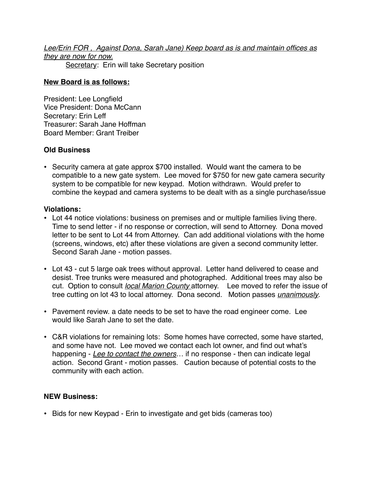*Lee/Erin FOR , Against Dona, Sarah Jane) Keep board as is and maintain offices as they are now for now.* Secretary: Erin will take Secretary position

## **New Board is as follows:**

President: Lee Longfield Vice President: Dona McCann Secretary: Erin Leff Treasurer: Sarah Jane Hoffman Board Member: Grant Treiber

# **Old Business**

• Security camera at gate approx \$700 installed. Would want the camera to be compatible to a new gate system. Lee moved for \$750 for new gate camera security system to be compatible for new keypad. Motion withdrawn. Would prefer to combine the keypad and camera systems to be dealt with as a single purchase/issue

# **Violations:**

- Lot 44 notice violations: business on premises and or multiple families living there. Time to send letter - if no response or correction, will send to Attorney. Dona moved letter to be sent to Lot 44 from Attorney. Can add additional violations with the home (screens, windows, etc) after these violations are given a second community letter. Second Sarah Jane - motion passes.
- Lot 43 cut 5 large oak trees without approval. Letter hand delivered to cease and desist. Tree trunks were measured and photographed. Additional trees may also be cut. Option to consult *local Marion County* attorney. Lee moved to refer the issue of tree cutting on lot 43 to local attorney. Dona second. Motion passes *unanimously*.
- Pavement review. a date needs to be set to have the road engineer come. Lee would like Sarah Jane to set the date.
- C&R violations for remaining lots: Some homes have corrected, some have started, and some have not. Lee moved we contact each lot owner, and find out what's happening - *Lee to contact the owners*… if no response - then can indicate legal action. Second Grant - motion passes. Caution because of potential costs to the community with each action.

# **NEW Business:**

• Bids for new Keypad - Erin to investigate and get bids (cameras too)